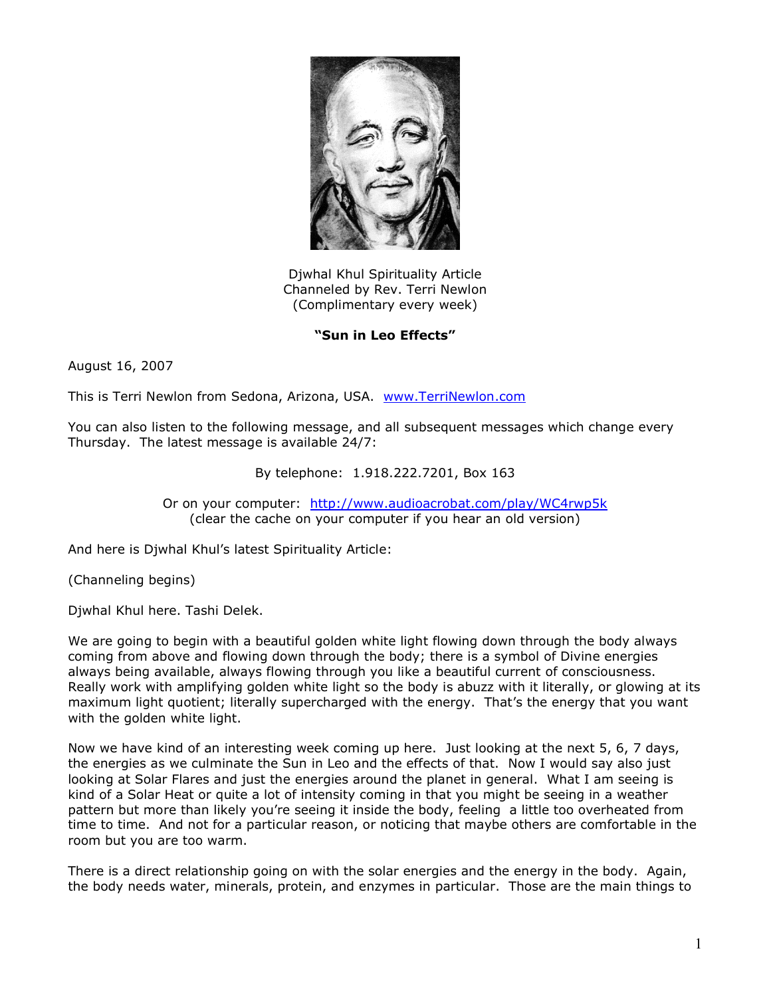

Djwhal Khul Spirituality Article Channeled by Rev. Terri Newlon (Complimentary every week)

## **"Sun in Leo Effects"**

August 16, 2007

This is Terri Newlon from Sedona, Arizona, USA. [www.TerriNewlon.com](http://www.terrinewlon.com/)

You can also listen to the following message, and all subsequent messages which change every Thursday. The latest message is available 24/7:

## By telephone: 1.918.222.7201, Box 163

Or on your computer: <http://www.audioacrobat.com/play/WC4rwp5k> (clear the cache on your computer if you hear an old version)

And here is Djwhal Khul's latest Spirituality Article:

(Channeling begins)

Djwhal Khul here. Tashi Delek.

We are going to begin with a beautiful golden white light flowing down through the body always coming from above and flowing down through the body; there is a symbol of Divine energies always being available, always flowing through you like a beautiful current of consciousness. Really work with amplifying golden white light so the body is abuzz with it literally, or glowing at its maximum light quotient; literally supercharged with the energy. That's the energy that you want with the golden white light.

Now we have kind of an interesting week coming up here. Just looking at the next 5, 6, 7 days, the energies as we culminate the Sun in Leo and the effects of that. Now I would say also just looking at Solar Flares and just the energies around the planet in general. What I am seeing is kind of a Solar Heat or quite a lot of intensity coming in that you might be seeing in a weather pattern but more than likely you're seeing it inside the body, feeling a little too overheated from time to time. And not for a particular reason, or noticing that maybe others are comfortable in the room but you are too warm.

There is a direct relationship going on with the solar energies and the energy in the body. Again, the body needs water, minerals, protein, and enzymes in particular. Those are the main things to